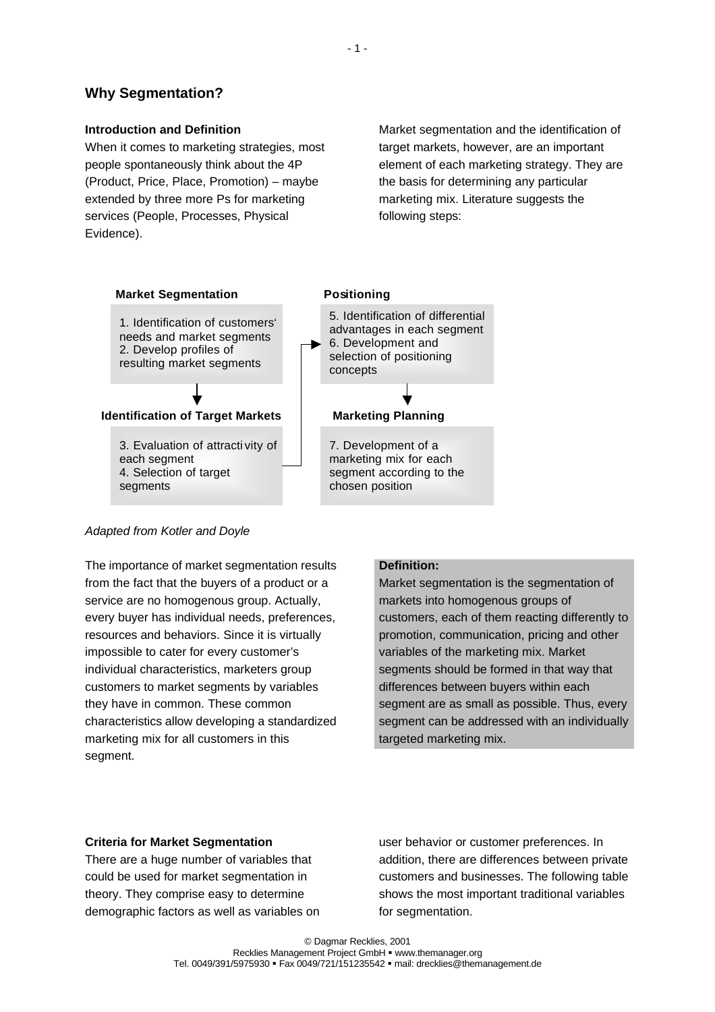# **Why Segmentation?**

## **Introduction and Definition**

When it comes to marketing strategies, most people spontaneously think about the 4P (Product, Price, Place, Promotion) – maybe extended by three more Ps for marketing services (People, Processes, Physical Evidence).

Market segmentation and the identification of target markets, however, are an important element of each marketing strategy. They are the basis for determining any particular marketing mix. Literature suggests the following steps:



## *Adapted from Kotler and Doyle*

The importance of market segmentation results from the fact that the buyers of a product or a service are no homogenous group. Actually, every buyer has individual needs, preferences, resources and behaviors. Since it is virtually impossible to cater for every customer's individual characteristics, marketers group customers to market segments by variables they have in common. These common characteristics allow developing a standardized marketing mix for all customers in this segment.

#### **Definition:**

Market segmentation is the segmentation of markets into homogenous groups of customers, each of them reacting differently to promotion, communication, pricing and other variables of the marketing mix. Market segments should be formed in that way that differences between buyers within each segment are as small as possible. Thus, every segment can be addressed with an individually targeted marketing mix.

#### **Criteria for Market Segmentation**

There are a huge number of variables that could be used for market segmentation in theory. They comprise easy to determine demographic factors as well as variables on

user behavior or customer preferences. In addition, there are differences between private customers and businesses. The following table shows the most important traditional variables for segmentation.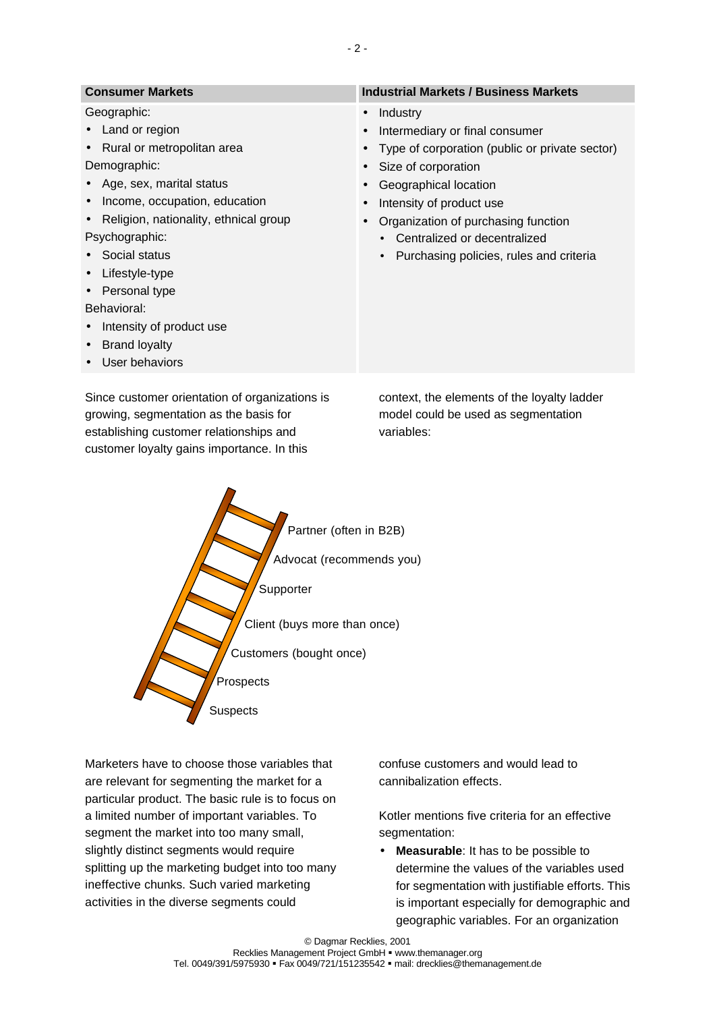| <b>Consumer Markets</b>                            | <b>Industrial Markets / Business Markets</b>   |
|----------------------------------------------------|------------------------------------------------|
| Geographic:                                        | Industry<br>$\bullet$                          |
| Land or region<br>$\bullet$                        | Intermediary or final consumer                 |
| Rural or metropolitan area<br>$\bullet$            | Type of corporation (public or private sector) |
| Demographic:                                       | Size of corporation                            |
| • Age, sex, marital status                         | Geographical location                          |
| Income, occupation, education<br>$\bullet$         | Intensity of product use                       |
| Religion, nationality, ethnical group<br>$\bullet$ | Organization of purchasing function            |
| Psychographic:                                     | Centralized or decentralized                   |
| Social status                                      | Purchasing policies, rules and criteria        |
| Lifestyle-type<br>$\bullet$                        |                                                |
| Personal type<br>$\bullet$                         |                                                |
| Behavioral:                                        |                                                |
| Intensity of product use<br>$\bullet$              |                                                |
| <b>Brand loyalty</b><br>$\bullet$                  |                                                |
| User behaviors                                     |                                                |
|                                                    |                                                |

Since customer orientation of organizations is growing, segmentation as the basis for establishing customer relationships and customer loyalty gains importance. In this

context, the elements of the loyalty ladder model could be used as segmentation variables:



Marketers have to choose those variables that are relevant for segmenting the market for a particular product. The basic rule is to focus on a limited number of important variables. To segment the market into too many small, slightly distinct segments would require splitting up the marketing budget into too many ineffective chunks. Such varied marketing activities in the diverse segments could

confuse customers and would lead to cannibalization effects.

Kotler mentions five criteria for an effective segmentation:

• **Measurable**: It has to be possible to determine the values of the variables used for segmentation with justifiable efforts. This is important especially for demographic and geographic variables. For an organization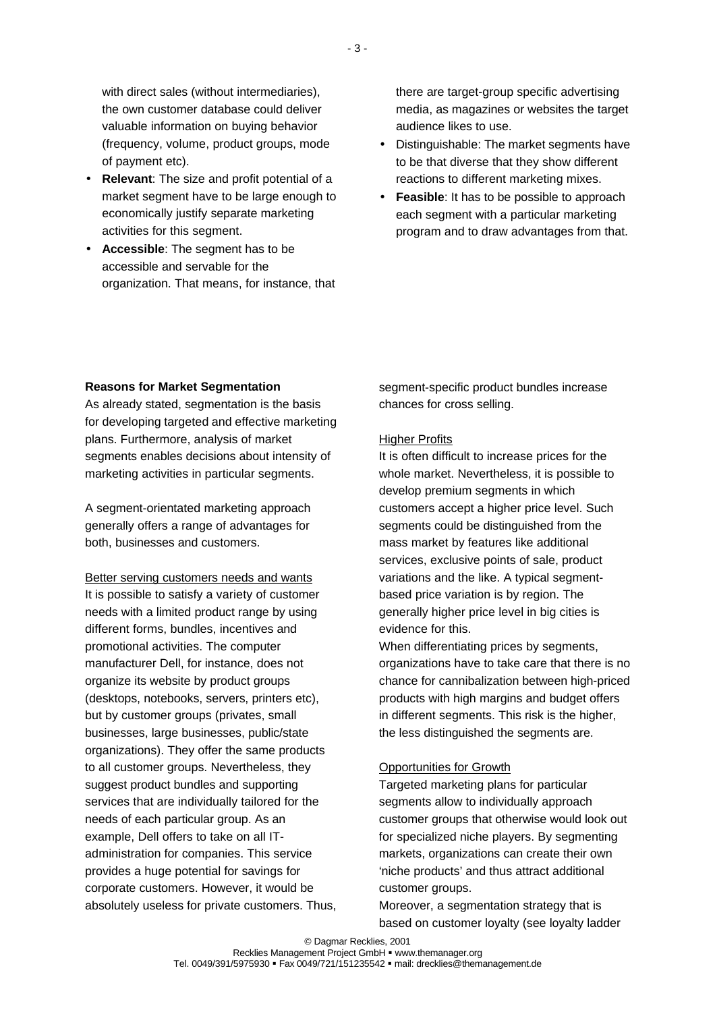with direct sales (without intermediaries), the own customer database could deliver valuable information on buying behavior (frequency, volume, product groups, mode of payment etc).

- **Relevant**: The size and profit potential of a market segment have to be large enough to economically justify separate marketing activities for this segment.
- **Accessible**: The segment has to be accessible and servable for the organization. That means, for instance, that

there are target-group specific advertising media, as magazines or websites the target audience likes to use.

- Distinguishable: The market segments have to be that diverse that they show different reactions to different marketing mixes.
- **Feasible**: It has to be possible to approach each segment with a particular marketing program and to draw advantages from that.

## **Reasons for Market Segmentation**

As already stated, segmentation is the basis for developing targeted and effective marketing plans. Furthermore, analysis of market segments enables decisions about intensity of marketing activities in particular segments.

A segment-orientated marketing approach generally offers a range of advantages for both, businesses and customers.

Better serving customers needs and wants It is possible to satisfy a variety of customer needs with a limited product range by using different forms, bundles, incentives and promotional activities. The computer manufacturer Dell, for instance, does not organize its website by product groups (desktops, notebooks, servers, printers etc), but by customer groups (privates, small businesses, large businesses, public/state organizations). They offer the same products to all customer groups. Nevertheless, they suggest product bundles and supporting services that are individually tailored for the needs of each particular group. As an example, Dell offers to take on all ITadministration for companies. This service provides a huge potential for savings for corporate customers. However, it would be absolutely useless for private customers. Thus, segment-specific product bundles increase chances for cross selling.

#### Higher Profits

It is often difficult to increase prices for the whole market. Nevertheless, it is possible to develop premium segments in which customers accept a higher price level. Such segments could be distinguished from the mass market by features like additional services, exclusive points of sale, product variations and the like. A typical segmentbased price variation is by region. The generally higher price level in big cities is evidence for this.

When differentiating prices by segments, organizations have to take care that there is no chance for cannibalization between high-priced products with high margins and budget offers in different segments. This risk is the higher, the less distinguished the segments are.

#### Opportunities for Growth

Targeted marketing plans for particular segments allow to individually approach customer groups that otherwise would look out for specialized niche players. By segmenting markets, organizations can create their own 'niche products' and thus attract additional customer groups.

Moreover, a segmentation strategy that is based on customer loyalty (see loyalty ladder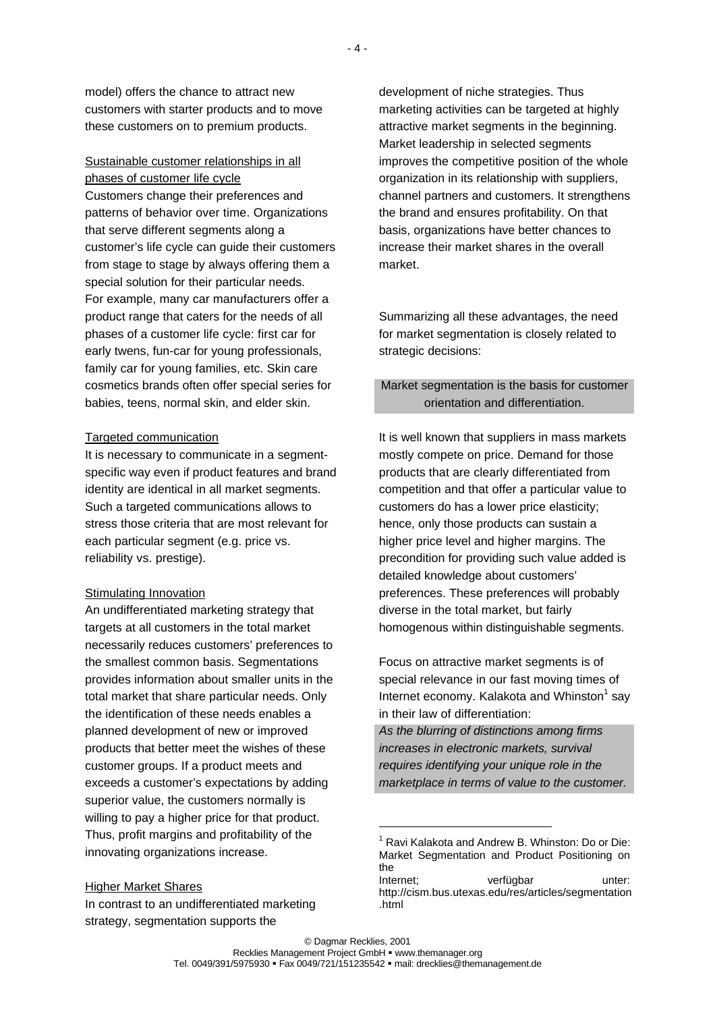Sustainable customer relationships in all phases of customer life cycle Customers change their preferences and patterns of behavior over time. Organizations that serve different segments along a customer's life cycle can guide their customers from stage to stage by always offering them a special solution for their particular needs. For example, many car manufacturers offer a product range that caters for the needs of all phases of a customer life cycle: first car for early twens, fun-car for young professionals, family car for young families, etc. Skin care cosmetics brands often offer special series for babies, teens, normal skin, and elder skin.

## Targeted communication

It is necessary to communicate in a segmentspecific way even if product features and brand identity are identical in all market segments. Such a targeted communications allows to stress those criteria that are most relevant for each particular segment (e.g. price vs. reliability vs. prestige).

## Stimulating Innovation

An undifferentiated marketing strategy that targets at all customers in the total market necessarily reduces customers' preferences to the smallest common basis. Segmentations provides information about smaller units in the total market that share particular needs. Only the identification of these needs enables a planned development of new or improved products that better meet the wishes of these customer groups. If a product meets and exceeds a customer's expectations by adding superior value, the customers normally is willing to pay a higher price for that product. Thus, profit margins and profitability of the innovating organizations increase.

## Higher Market Shares

In contrast to an undifferentiated marketing strategy, segmentation supports the

development of niche strategies. Thus marketing activities can be targeted at highly attractive market segments in the beginning. Market leadership in selected segments improves the competitive position of the whole organization in its relationship with suppliers, channel partners and customers. It strengthens the brand and ensures profitability. On that basis, organizations have better chances to increase their market shares in the overall market.

Summarizing all these advantages, the need for market segmentation is closely related to strategic decisions:

# Market segmentation is the basis for customer orientation and differentiation.

It is well known that suppliers in mass markets mostly compete on price. Demand for those products that are clearly differentiated from competition and that offer a particular value to customers do has a lower price elasticity; hence, only those products can sustain a higher price level and higher margins. The precondition for providing such value added is detailed knowledge about customers' preferences. These preferences will probably diverse in the total market, but fairly homogenous within distinguishable segments.

Focus on attractive market segments is of special relevance in our fast moving times of Internet economy. Kalakota and Whinston $1$  say in their law of differentiation:

*As the blurring of distinctions among firms increases in electronic markets, survival requires identifying your unique role in the marketplace in terms of value to the customer.*

 $1$  Ravi Kalakota and Andrew B. Whinston: Do or Die: Market Segmentation and Product Positioning on the

Internet; verfügbar unter: http://cism.bus.utexas.edu/res/articles/segmentation .html